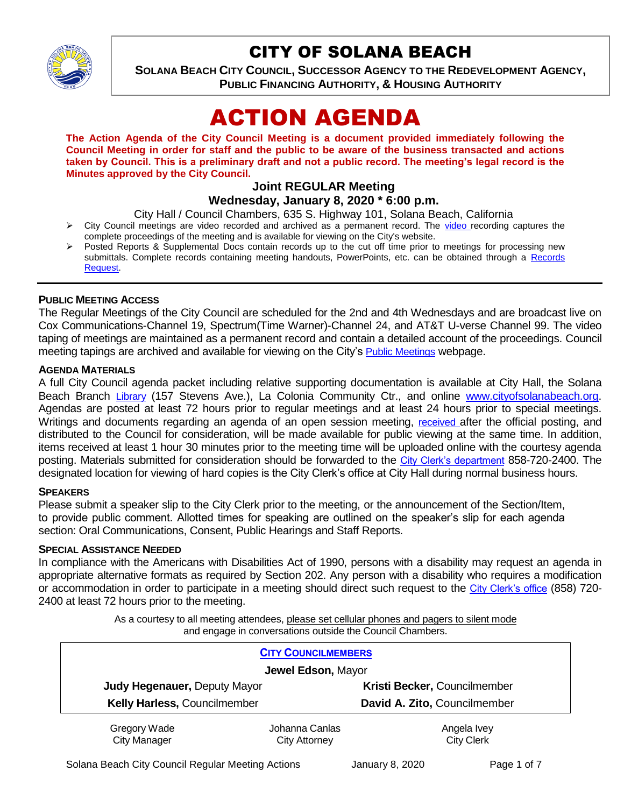

## CITY OF SOLANA BEACH

**SOLANA BEACH CITY COUNCIL, SUCCESSOR AGENCY TO THE REDEVELOPMENT AGENCY, PUBLIC FINANCING AUTHORITY, & HOUSING AUTHORITY** 

# ACTION AGENDA

**The Action Agenda of the City Council Meeting is a document provided immediately following the Council Meeting in order for staff and the public to be aware of the business transacted and actions taken by Council. This is a preliminary draft and not a public record. The meeting's legal record is the Minutes approved by the City Council.**

## **Joint REGULAR Meeting Wednesday, January 8, 2020 \* 6:00 p.m.**

City Hall / Council Chambers, 635 S. Highway 101, Solana Beach, California

- $\triangleright$  City Council meetings are [video r](https://solanabeach.12milesout.com/#page=1)ecorded and archived as a permanent record. The video recording captures the complete proceedings of the meeting and is available for viewing on the City's website.
- Posted Reports & Supplemental Docs contain records up to the cut off time prior to meetings for processing new submittals. Complete records containing meeting handouts, PowerPoints, etc. can be obtained through a Records [Request.](http://www.ci.solana-beach.ca.us/index.asp?SEC=F5D45D10-70CE-4291-A27C-7BD633FC6742&Type=B_BASIC)

## **PUBLIC MEETING ACCESS**

The Regular Meetings of the City Council are scheduled for the 2nd and 4th Wednesdays and are broadcast live on Cox Communications-Channel 19, Spectrum(Time Warner)-Channel 24, and AT&T U-verse Channel 99. The video taping of meetings are maintained as a permanent record and contain a detailed account of the proceedings. Council meeting tapings are archived and available for viewing on the City's [Public Meetings](https://www.ci.solana-beach.ca.us/index.asp?SEC=F0F1200D-21C6-4A88-8AE1-0BC07C1A81A7&Type=B_BASIC) webpage.

## **AGENDA MATERIALS**

A full City Council agenda packet including relative supporting documentation is available at City Hall, the Solana Beach Branch [Library](http://www.sdcl.org/locations_SB.html) (157 Stevens Ave.), La Colonia Community Ctr., and online [www.cityofsolanabeach.org.](http://www.cityofsolanabeach.org/) Agendas are posted at least 72 hours prior to regular meetings and at least 24 hours prior to special meetings. Writings and documents regarding an agenda of an open session meeting, [received](mailto:EMAILGRP-CityClerksOfc@cosb.org) after the official posting, and distributed to the Council for consideration, will be made available for public viewing at the same time. In addition, items received at least 1 hour 30 minutes prior to the meeting time will be uploaded online with the courtesy agenda posting. Materials submitted for consideration should be forwarded to the [City Clerk's department](mailto:EMAILGRP-CityClerksOfc@cosb.org) 858-720-2400. The designated location for viewing of hard copies is the City Clerk's office at City Hall during normal business hours.

## **SPEAKERS**

Please submit a speaker slip to the City Clerk prior to the meeting, or the announcement of the Section/Item, to provide public comment. Allotted times for speaking are outlined on the speaker's slip for each agenda section: Oral Communications, Consent, Public Hearings and Staff Reports.

#### **SPECIAL ASSISTANCE NEEDED**

In compliance with the Americans with Disabilities Act of 1990, persons with a disability may request an agenda in appropriate alternative formats as required by Section 202. Any person with a disability who requires a modification or accommodation in order to participate in a meeting should direct such request to the [City Clerk's office](mailto:clerkadmin@cosb.org?subject=City%20Clerk%20Notice%20of%20Special%20Services%20Needed) (858) 720- 2400 at least 72 hours prior to the meeting.

> As a courtesy to all meeting attendees, please set cellular phones and pagers to silent mode and engage in conversations outside the Council Chambers.

|                                     | <b>CITY COUNCILMEMBERS</b>             |                                  |
|-------------------------------------|----------------------------------------|----------------------------------|
| Jewel Edson, Mayor                  |                                        |                                  |
| Judy Hegenauer, Deputy Mayor        |                                        | Kristi Becker, Councilmember     |
| Kelly Harless, Councilmember        |                                        | David A. Zito, Councilmember     |
| Gregory Wade<br><b>City Manager</b> | Johanna Canlas<br><b>City Attorney</b> | Angela Ivey<br><b>City Clerk</b> |

Solana Beach City Council Regular Meeting Actions **Figure 10** January 8, 2020 Page 1 of 7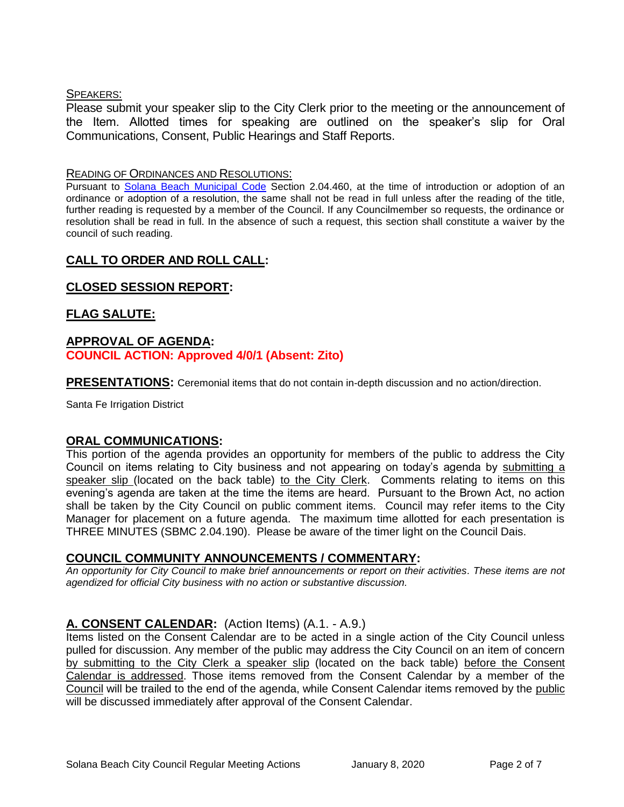## SPEAKERS:

Please submit your speaker slip to the City Clerk prior to the meeting or the announcement of the Item. Allotted times for speaking are outlined on the speaker's slip for Oral Communications, Consent, Public Hearings and Staff Reports.

#### READING OF ORDINANCES AND RESOLUTIONS:

Pursuant to [Solana Beach Municipal Code](mailto:https://www.codepublishing.com/CA/SolanaBeach/) Section 2.04.460, at the time of introduction or adoption of an ordinance or adoption of a resolution, the same shall not be read in full unless after the reading of the title, further reading is requested by a member of the Council. If any Councilmember so requests, the ordinance or resolution shall be read in full. In the absence of such a request, this section shall constitute a waiver by the council of such reading.

## **CALL TO ORDER AND ROLL CALL:**

## **CLOSED SESSION REPORT:**

## **FLAG SALUTE:**

## **APPROVAL OF AGENDA: COUNCIL ACTION: Approved 4/0/1 (Absent: Zito)**

**PRESENTATIONS:** Ceremonial items that do not contain in-depth discussion and no action/direction.

Santa Fe Irrigation District

## **ORAL COMMUNICATIONS:**

This portion of the agenda provides an opportunity for members of the public to address the City Council on items relating to City business and not appearing on today's agenda by submitting a speaker slip (located on the back table) to the City Clerk. Comments relating to items on this evening's agenda are taken at the time the items are heard. Pursuant to the Brown Act, no action shall be taken by the City Council on public comment items. Council may refer items to the City Manager for placement on a future agenda. The maximum time allotted for each presentation is THREE MINUTES (SBMC 2.04.190). Please be aware of the timer light on the Council Dais.

## **COUNCIL COMMUNITY ANNOUNCEMENTS / COMMENTARY:**

*An opportunity for City Council to make brief announcements or report on their activities. These items are not agendized for official City business with no action or substantive discussion.* 

## **A. CONSENT CALENDAR:** (Action Items) (A.1. - A.9.)

Items listed on the Consent Calendar are to be acted in a single action of the City Council unless pulled for discussion. Any member of the public may address the City Council on an item of concern by submitting to the City Clerk a speaker slip (located on the back table) before the Consent Calendar is addressed. Those items removed from the Consent Calendar by a member of the Council will be trailed to the end of the agenda, while Consent Calendar items removed by the public will be discussed immediately after approval of the Consent Calendar.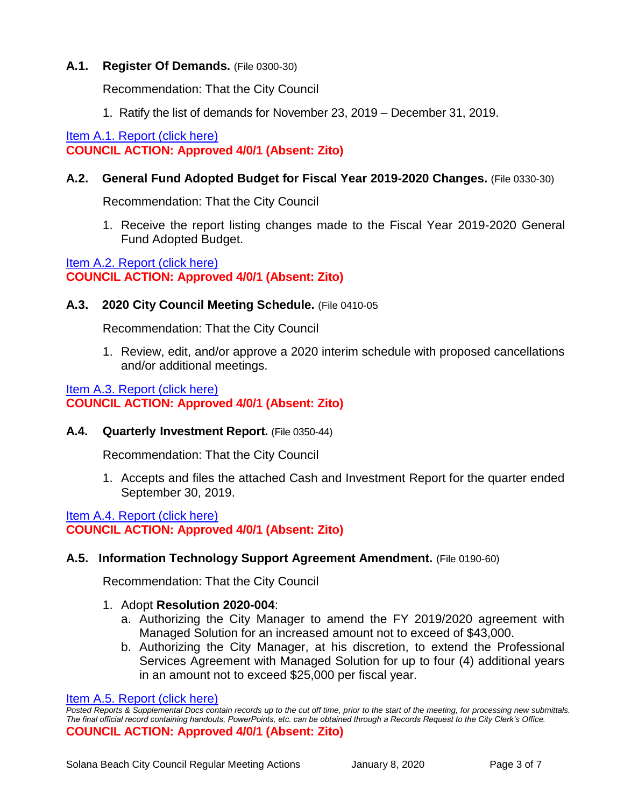## **A.1. Register Of Demands.** (File 0300-30)

Recommendation: That the City Council

1. Ratify the list of demands for November 23, 2019 – December 31, 2019.

[Item A.1. Report \(click here\)](https://solanabeach.govoffice3.com/vertical/Sites/%7B840804C2-F869-4904-9AE3-720581350CE7%7D/uploads/Item_A.1._Report_(click_here)_01-08-20_-_O.pdf) **COUNCIL ACTION: Approved 4/0/1 (Absent: Zito)**

## **A.2. General Fund Adopted Budget for Fiscal Year 2019-2020 Changes.** (File 0330-30)

Recommendation: That the City Council

1. Receive the report listing changes made to the Fiscal Year 2019-2020 General Fund Adopted Budget.

[Item A.2. Report \(click here\)](https://solanabeach.govoffice3.com/vertical/Sites/%7B840804C2-F869-4904-9AE3-720581350CE7%7D/uploads/Item_A.2._Report_(click_here)_01-08-20_-_O.pdf) **COUNCIL ACTION: Approved 4/0/1 (Absent: Zito)**

## **A.3. 2020 City Council Meeting Schedule.** (File 0410-05

Recommendation: That the City Council

1. Review, edit, and/or approve a 2020 interim schedule with proposed cancellations and/or additional meetings.

## [Item A.3. Report \(click here\)](https://solanabeach.govoffice3.com/vertical/Sites/%7B840804C2-F869-4904-9AE3-720581350CE7%7D/uploads/Item_A.3._Report_(click_here)_01-08-20_-_O.pdf) **COUNCIL ACTION: Approved 4/0/1 (Absent: Zito)**

**A.4. Quarterly Investment Report.** (File 0350-44)

Recommendation: That the City Council

1. Accepts and files the attached Cash and Investment Report for the quarter ended September 30, 2019.

[Item A.4. Report \(click here\)](https://solanabeach.govoffice3.com/vertical/Sites/%7B840804C2-F869-4904-9AE3-720581350CE7%7D/uploads/Item_A.4._Report_(click_here)_01-08-20_-_O.pdf) **COUNCIL ACTION: Approved 4/0/1 (Absent: Zito)**

## **A.5. Information Technology Support Agreement Amendment.** (File 0190-60)

Recommendation: That the City Council

- 1. Adopt **Resolution 2020-004**:
	- a. Authorizing the City Manager to amend the FY 2019/2020 agreement with Managed Solution for an increased amount not to exceed of \$43,000.
	- b. Authorizing the City Manager, at his discretion, to extend the Professional Services Agreement with Managed Solution for up to four (4) additional years in an amount not to exceed \$25,000 per fiscal year.

```
Item A.5. Report (click here)
```
*Posted Reports & Supplemental Docs contain records up to the cut off time, prior to the start of the meeting, for processing new submittals. The final official record containing handouts, PowerPoints, etc. can be obtained through a Records Request to the City Clerk's Office.* **COUNCIL ACTION: Approved 4/0/1 (Absent: Zito)**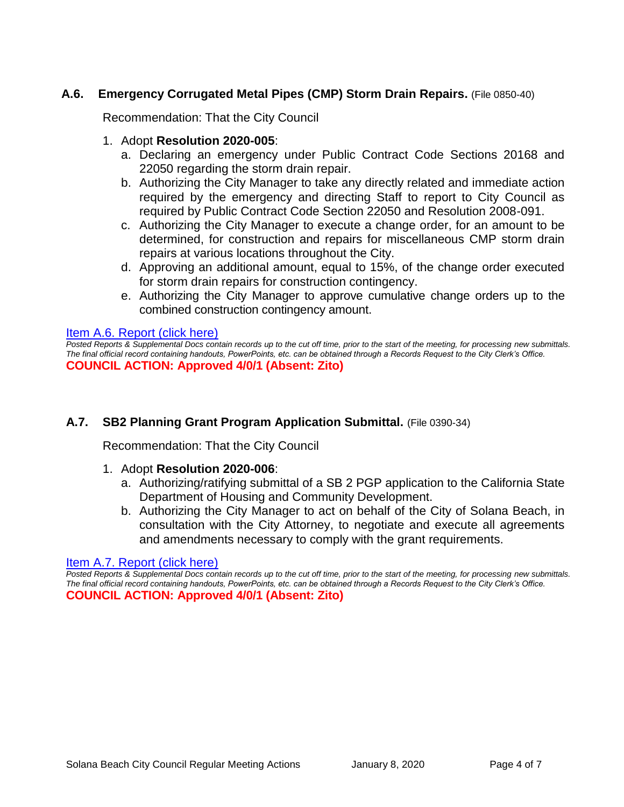## **A.6. Emergency Corrugated Metal Pipes (CMP) Storm Drain Repairs.** (File 0850-40)

Recommendation: That the City Council

## 1. Adopt **Resolution 2020-005**:

- a. Declaring an emergency under Public Contract Code Sections 20168 and 22050 regarding the storm drain repair.
- b. Authorizing the City Manager to take any directly related and immediate action required by the emergency and directing Staff to report to City Council as required by Public Contract Code Section 22050 and Resolution 2008-091.
- c. Authorizing the City Manager to execute a change order, for an amount to be determined, for construction and repairs for miscellaneous CMP storm drain repairs at various locations throughout the City.
- d. Approving an additional amount, equal to 15%, of the change order executed for storm drain repairs for construction contingency.
- e. Authorizing the City Manager to approve cumulative change orders up to the combined construction contingency amount.

#### [Item A.6. Report \(click here\)](https://solanabeach.govoffice3.com/vertical/Sites/%7B840804C2-F869-4904-9AE3-720581350CE7%7D/uploads/Item_A.6._Report_(click_here)_01-08-20_-_O.pdf)

*Posted Reports & Supplemental Docs contain records up to the cut off time, prior to the start of the meeting, for processing new submittals. The final official record containing handouts, PowerPoints, etc. can be obtained through a Records Request to the City Clerk's Office.* **COUNCIL ACTION: Approved 4/0/1 (Absent: Zito)**

## **A.7. SB2 Planning Grant Program Application Submittal.** (File 0390-34)

Recommendation: That the City Council

## 1. Adopt **Resolution 2020-006**:

- a. Authorizing/ratifying submittal of a SB 2 PGP application to the California State Department of Housing and Community Development.
- b. Authorizing the City Manager to act on behalf of the City of Solana Beach, in consultation with the City Attorney, to negotiate and execute all agreements and amendments necessary to comply with the grant requirements.

#### [Item A.7. Report \(click here\)](https://solanabeach.govoffice3.com/vertical/Sites/%7B840804C2-F869-4904-9AE3-720581350CE7%7D/uploads/Item_A.7._Report_(click_here)_01-08-20_-_O.pdf)

*Posted Reports & Supplemental Docs contain records up to the cut off time, prior to the start of the meeting, for processing new submittals. The final official record containing handouts, PowerPoints, etc. can be obtained through a Records Request to the City Clerk's Office.* **COUNCIL ACTION: Approved 4/0/1 (Absent: Zito)**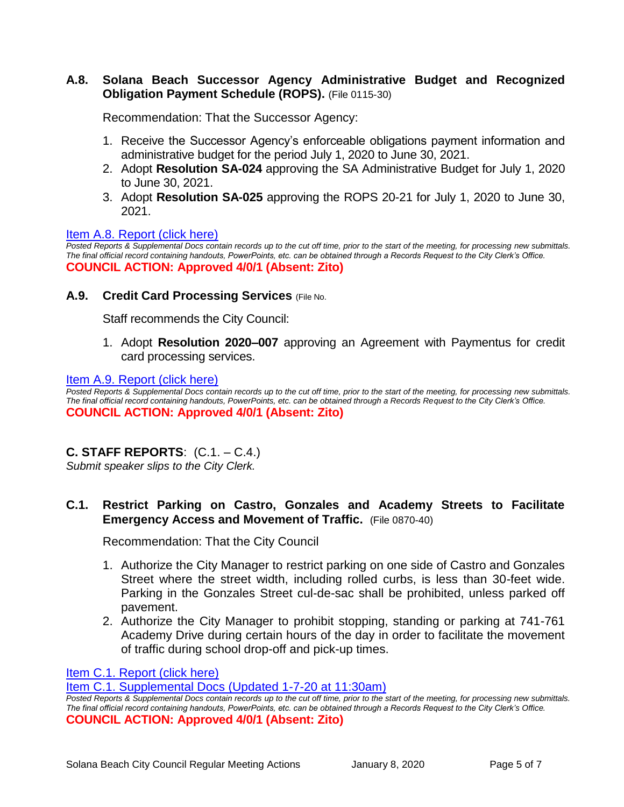## **A.8. Solana Beach Successor Agency Administrative Budget and Recognized Obligation Payment Schedule (ROPS).** (File 0115-30)

Recommendation: That the Successor Agency:

- 1. Receive the Successor Agency's enforceable obligations payment information and administrative budget for the period July 1, 2020 to June 30, 2021.
- 2. Adopt **Resolution SA-024** approving the SA Administrative Budget for July 1, 2020 to June 30, 2021.
- 3. Adopt **Resolution SA-025** approving the ROPS 20-21 for July 1, 2020 to June 30, 2021.

#### [Item A.8. Report \(click here\)](https://solanabeach.govoffice3.com/vertical/Sites/%7B840804C2-F869-4904-9AE3-720581350CE7%7D/uploads/Item_A.8._Report_(click_here)_01-08-20_-_O.pdf)

*Posted Reports & Supplemental Docs contain records up to the cut off time, prior to the start of the meeting, for processing new submittals. The final official record containing handouts, PowerPoints, etc. can be obtained through a Records Request to the City Clerk's Office.* **COUNCIL ACTION: Approved 4/0/1 (Absent: Zito)**

#### **A.9. Credit Card Processing Services** (File No.

Staff recommends the City Council:

1. Adopt **Resolution 2020–007** approving an Agreement with Paymentus for credit card processing services.

[Item A.9. Report \(click here\)](https://solanabeach.govoffice3.com/vertical/Sites/%7B840804C2-F869-4904-9AE3-720581350CE7%7D/uploads/Item_A.9._Report_(click_here)_01-08-20_-_O.pdf)

*Posted Reports & Supplemental Docs contain records up to the cut off time, prior to the start of the meeting, for processing new submittals. The final official record containing handouts, PowerPoints, etc. can be obtained through a Records Request to the City Clerk's Office.* **COUNCIL ACTION: Approved 4/0/1 (Absent: Zito)**

## **C. STAFF REPORTS**: (C.1. – C.4.)

*Submit speaker slips to the City Clerk.*

## **C.1. Restrict Parking on Castro, Gonzales and Academy Streets to Facilitate Emergency Access and Movement of Traffic.** (File 0870-40)

Recommendation: That the City Council

- 1. Authorize the City Manager to restrict parking on one side of Castro and Gonzales Street where the street width, including rolled curbs, is less than 30-feet wide. Parking in the Gonzales Street cul-de-sac shall be prohibited, unless parked off pavement.
- 2. Authorize the City Manager to prohibit stopping, standing or parking at 741-761 Academy Drive during certain hours of the day in order to facilitate the movement of traffic during school drop-off and pick-up times.

[Item C.1. Report \(click here\)](https://solanabeach.govoffice3.com/vertical/Sites/%7B840804C2-F869-4904-9AE3-720581350CE7%7D/uploads/Item_C.1._Report_(click_here)_01-08-20_-_O.pdf)

[Item C.1. Supplemental Docs \(Updated 1-7-20 at 11:30am\)](https://solanabeach.govoffice3.com/vertical/Sites/%7B840804C2-F869-4904-9AE3-720581350CE7%7D/uploads/Item_C.1._Supplemental_Docs_(Upd._1-7_at_1115am)_-_O.pdf)

*Posted Reports & Supplemental Docs contain records up to the cut off time, prior to the start of the meeting, for processing new submittals. The final official record containing handouts, PowerPoints, etc. can be obtained through a Records Request to the City Clerk's Office.* **COUNCIL ACTION: Approved 4/0/1 (Absent: Zito)**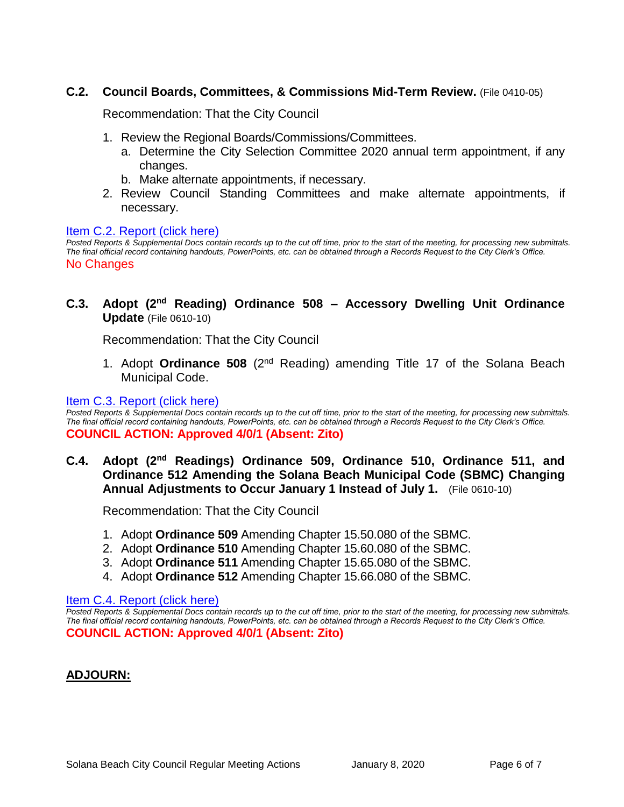## **C.2. Council Boards, Committees, & Commissions Mid-Term Review.** (File 0410-05)

Recommendation: That the City Council

- 1. Review the Regional Boards/Commissions/Committees.
	- a. Determine the City Selection Committee 2020 annual term appointment, if any changes.
	- b. Make alternate appointments, if necessary.
- 2. Review Council Standing Committees and make alternate appointments, if necessary.

#### [Item C.2. Report \(click here\)](https://solanabeach.govoffice3.com/vertical/Sites/%7B840804C2-F869-4904-9AE3-720581350CE7%7D/uploads/Item_C.2._Report_(click_here)_01-08-20_-_O.pdf)

*Posted Reports & Supplemental Docs contain records up to the cut off time, prior to the start of the meeting, for processing new submittals. The final official record containing handouts, PowerPoints, etc. can be obtained through a Records Request to the City Clerk's Office.* No Changes

**C.3. Adopt (2nd Reading) Ordinance 508 – Accessory Dwelling Unit Ordinance Update** (File 0610-10)

Recommendation: That the City Council

1. Adopt **Ordinance 508** (2nd Reading) amending Title 17 of the Solana Beach Municipal Code.

#### [Item C.3. Report \(click here\)](https://solanabeach.govoffice3.com/vertical/Sites/%7B840804C2-F869-4904-9AE3-720581350CE7%7D/uploads/Item_C.3._Report_(click_here)_01-08-20_-_O.pdf)

*Posted Reports & Supplemental Docs contain records up to the cut off time, prior to the start of the meeting, for processing new submittals. The final official record containing handouts, PowerPoints, etc. can be obtained through a Records Request to the City Clerk's Office.* **COUNCIL ACTION: Approved 4/0/1 (Absent: Zito)**

**C.4. Adopt (2nd Readings) Ordinance 509, Ordinance 510, Ordinance 511, and Ordinance 512 Amending the Solana Beach Municipal Code (SBMC) Changing Annual Adjustments to Occur January 1 Instead of July 1.** (File 0610-10)

Recommendation: That the City Council

- 1. Adopt **Ordinance 509** Amending Chapter 15.50.080 of the SBMC.
- 2. Adopt **Ordinance 510** Amending Chapter 15.60.080 of the SBMC.
- 3. Adopt **Ordinance 511** Amending Chapter 15.65.080 of the SBMC.
- 4. Adopt **Ordinance 512** Amending Chapter 15.66.080 of the SBMC.

#### [Item C.4. Report \(click here\)](https://solanabeach.govoffice3.com/vertical/Sites/%7B840804C2-F869-4904-9AE3-720581350CE7%7D/uploads/Item_C.4._Report_(click_here)_01-08-20_-_O.pdf)

*Posted Reports & Supplemental Docs contain records up to the cut off time, prior to the start of the meeting, for processing new submittals. The final official record containing handouts, PowerPoints, etc. can be obtained through a Records Request to the City Clerk's Office.* **COUNCIL ACTION: Approved 4/0/1 (Absent: Zito)**

## **ADJOURN:**